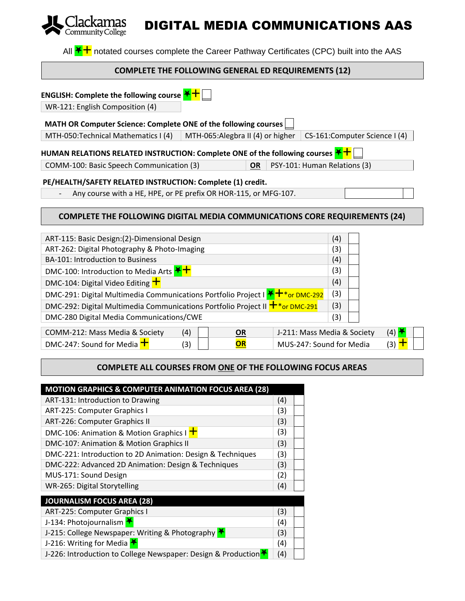

# DIGITAL MEDIA COMMUNICATIONS AAS

All  $\overline{\mathbf{A}}$  notated courses complete the Career Pathway Certificates (CPC) built into the AAS

#### **COMPLETE THE FOLLOWING GENERAL ED REQUIREMENTS (12)**

| ENGLISH: Complete the following course <b>*</b>                                      |                                   |           |  |                              |  |                               |
|--------------------------------------------------------------------------------------|-----------------------------------|-----------|--|------------------------------|--|-------------------------------|
| WR-121: English Composition (4)                                                      |                                   |           |  |                              |  |                               |
| MATH OR Computer Science: Complete ONE of the following courses                      |                                   |           |  |                              |  |                               |
| MTH-050:Technical Mathematics I (4)                                                  | MTH-065: Alegbra II (4) or higher |           |  |                              |  | CS-161:Computer Science I (4) |
| HUMAN RELATIONS RELATED INSTRUCTION: Complete ONE of the following courses $\star +$ |                                   |           |  |                              |  |                               |
| COMM-100: Basic Speech Communication (3)                                             |                                   | <b>OR</b> |  | PSY-101: Human Relations (3) |  |                               |
| PE/HEALTH/SAFETY RELATED INSTRUCTION: Complete (1) credit.                           |                                   |           |  |                              |  |                               |
| Any course with a HE, HPE, or PE prefix OR HOR-115, or MFG-107.                      |                                   |           |  |                              |  |                               |
| <b>COMPLETE THE FOLLOWING DIGITAL MEDIA COMMUNICATIONS CORE REQUIREMENTS (24)</b>    |                                   |           |  |                              |  |                               |
|                                                                                      |                                   |           |  |                              |  |                               |
| ART-115: Basic Design:(2)-Dimensional Design                                         |                                   |           |  | (4)                          |  |                               |
| (3)<br>ART-262: Digital Photography & Photo-Imaging                                  |                                   |           |  |                              |  |                               |
| <b>BA-101: Introduction to Business</b><br>(4)                                       |                                   |           |  |                              |  |                               |
| (3)<br>DMC-100: Introduction to Media Arts $\bigstar$                                |                                   |           |  |                              |  |                               |
| DMC-104: Digital Video Editing $\pm$<br>(4)                                          |                                   |           |  |                              |  |                               |

COMM-212: Mass Media & Society (4) **OR** J-211: Mass Media & Society (4) DMC-247: Sound for Media  $\frac{+}{+}$  (3)  $\Big|\Big|$  **OR** MUS-247: Sound for Media (3)  $\frac{+}{+}$ DMC-291: Digital Multimedia Communications Portfolio Project I  $\bigstar + \cdot_{\text{or DMC-292}}$  (3) DMC-292: Digital Multimedia Communications Portfolio Project II  $+_{\text{for DMC-291}}$  (3) DMC-280 Digital Media Communications/CWE (3)

#### **COMPLETE ALL COURSES FROM ONE OF THE FOLLOWING FOCUS AREAS**

| <b>MOTION GRAPHICS &amp; COMPUTER ANIMATION FOCUS AREA (28)</b>             |     |  |
|-----------------------------------------------------------------------------|-----|--|
| ART-131: Introduction to Drawing                                            |     |  |
| ART-225: Computer Graphics I                                                |     |  |
| ART-226: Computer Graphics II                                               |     |  |
| DMC-106: Animation & Motion Graphics I                                      |     |  |
| DMC-107: Animation & Motion Graphics II                                     |     |  |
| DMC-221: Introduction to 2D Animation: Design & Techniques                  | (3) |  |
| DMC-222: Advanced 2D Animation: Design & Techniques                         | (3) |  |
| MUS-171: Sound Design                                                       |     |  |
| WR-265: Digital Storytelling                                                |     |  |
| <b>JOURNALISM FOCUS AREA (28)</b>                                           |     |  |
| ART-225: Computer Graphics I                                                | (3) |  |
| J-134: Photojournalism                                                      | (4) |  |
| J-215: College Newspaper: Writing & Photography                             | (3) |  |
| J-216: Writing for Media $*$                                                | (4) |  |
| J-226: Introduction to College Newspaper: Design & Production <sup>**</sup> | (4) |  |